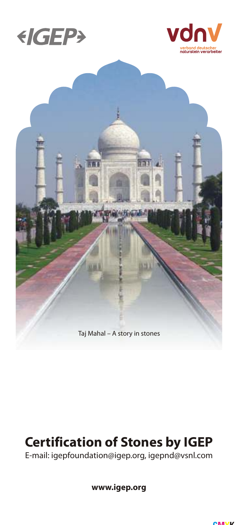





# **Certification of Stones by IGEP**

E-mail: igepfoundation@igep.org, igepnd@vsnl.com

**www.igep.org**

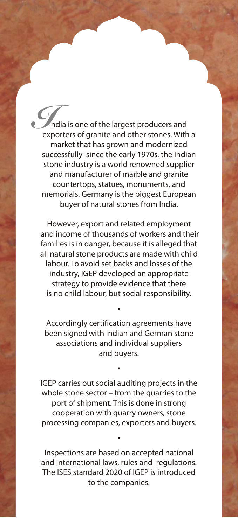*I*ndia is one of the largest producers and exporters of granite and other stones. With a market that has grown and modernized successfully since the early 1970s, the Indian stone industry is a world renowned supplier and manufacturer of marble and granite countertops, statues, monuments, and memorials. Germany is the biggest European buyer of natural stones from India.

However, export and related employment and income of thousands of workers and their families is in danger, because it is alleged that all natural stone products are made with child labour. To avoid set backs and losses of the industry, IGEP developed an appropriate strategy to provide evidence that there is no child labour, but social responsibility.

Accordingly certification agreements have been signed with Indian and German stone associations and individual suppliers and buyers.

•

•

IGEP carries out social auditing projects in the whole stone sector – from the quarries to the port of shipment. This is done in strong cooperation with quarry owners, stone processing companies, exporters and buyers.

Inspections are based on accepted national and international laws, rules and regulations. The ISES standard 2020 of IGEP is introduced to the companies.

•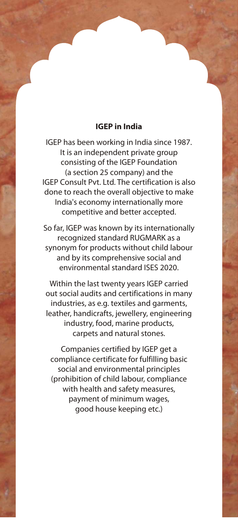#### **IGEP in India**

IGEP has been working in India since 1987. It is an independent private group consisting of the IGEP Foundation (a section 25 company) and the IGEP Consult Pvt. Ltd. The certification is also done to reach the overall objective to make India's economy internationally more competitive and better accepted.

So far, IGEP was known by its internationally recognized standard RUGMARK as a synonym for products without child labour and by its comprehensive social and environmental standard ISES 2020.

Within the last twenty years IGEP carried out social audits and certifications in many industries, as e.g. textiles and garments, leather, handicrafts, jewellery, engineering industry, food, marine products, carpets and natural stones.

Companies certified by IGEP get a compliance certificate for fulfilling basic social and environmental principles (prohibition of child labour, compliance with health and safety measures, payment of minimum wages, good house keeping etc.)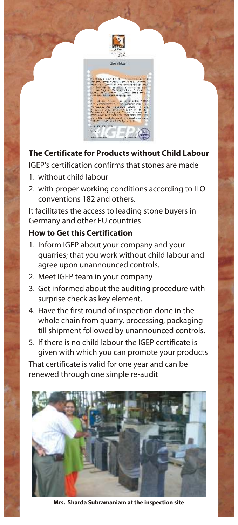



## **The Certificate for Products without Child Labour**

IGEP's certification confirms that stones are made

- 1. without child labour
- 2. with proper working conditions according to ILO conventions 182 and others.

It facilitates the access to leading stone buyers in Germany and other EU countries

## **How to Get this Certification**

- 1. Inform IGEP about your company and your quarries ; that you work without child labour and agree upon unannounced controls.
- 2. Meet IGEP team in your company
- 3. Get informed about the auditing procedure with surprise check as key element.
- 4. Have the first round of inspection done in the whole chain from quarry, processing, packaging till shipment followed by unannounced controls.
- 5. If there is no child labour the IGEP certificate is given with which you can promote your products

That certificate is valid for one year and can be renewed through one simple re-audit



**Mrs. Sharda Subramaniam at the inspection site**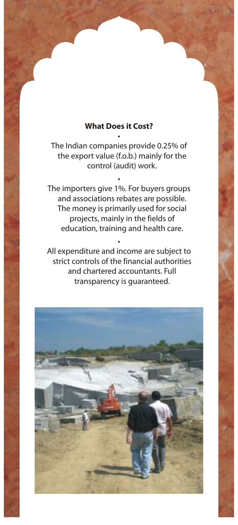## **What Does it Cost?** •

The Indian companies provide 0.25% of the export value (f.o.b.) mainly for the control (audit) work.

•

The importers give 1%. For buyers groups and associations rebates are possible. The money is primarily used for social projects, mainly in the fields of education, training and health care.

All expenditure and income are subject to strict controls of the financial authorities and chartered accountants. Full transparency is guaranteed.

•